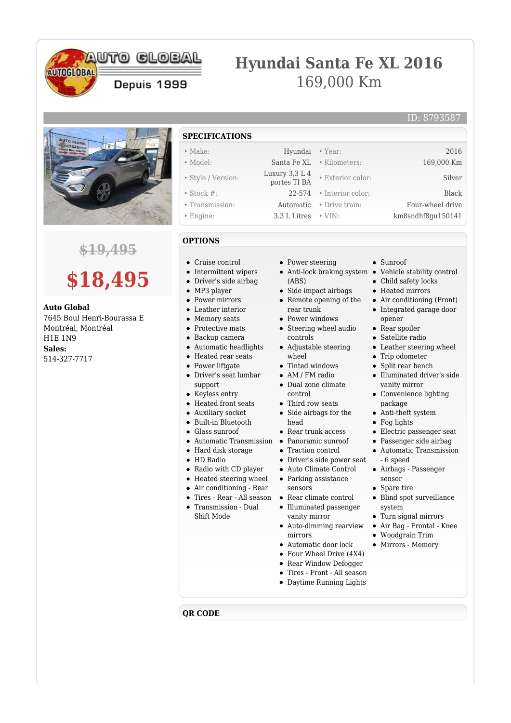## **AUTO CLOBAL**

Depuis 1999

# **Hyundai Santa Fe XL 2016** 169,000 Km



**AUTOGLOBAL** 

### **\$19,495**

# **\$18,495**

**Auto Global** 7645 Boul Henri-Bourassa E Montréal, Montréal H1E 1N9 **Sales:** 514-327-7717

- **SPECIFICATIONS**
- Make: Hyundai Year: 2016
- Model: Santa Fe XL Kilometers: 169,000 Km
- Style / Version: Luxury 3,3 L 4
- Stock #: 22-574 Interior color: Black
- 
- 

#### **OPTIONS**

- Cruise control
- Intermittent wipers
- $\bullet$ Driver's side airbag
- MP3 player
- Power mirrors
- Leather interior  $\bullet$
- Memory seats  $\bullet$
- Protective mats  $\bullet$
- Backup camera  $\bullet$
- Automatic headlights  $\bullet$
- Heated rear seats
- Power liftgate
- Driver's seat lumbar support
- Keyless entry
- Heated front seats
- Auxiliary socket
- Built-in Bluetooth
- Glass sunroof
- Automatic Transmission Panoramic sunroof
- Hard disk storage
- HD Radio
- Radio with CD player
- Heated steering wheel
- Air conditioning Rear
- Tires Rear All season  $\bullet$
- Transmission Dual
- Shift Mode
- Power steering
- Anti-lock braking system Vehicle stability control (ABS)
- Side impact airbags
- Remote opening of the rear trunk
- Power windows
- Steering wheel audio controls
- Adjustable steering wheel
- Tinted windows
- AM / FM radio
- Dual zone climate control
- Third row seats
- Side airbags for the head
- Rear trunk access
- 
- $\bullet~$  Traction control
- Driver's side power seat
- Auto Climate Control
- Parking assistance
- sensors Rear climate control
- Illuminated passenger
- vanity mirror Auto-dimming rearview
- mirrors
- Automatic door lock
- $\bullet$ Four Wheel Drive (4X4)  $\bullet$ 
	- Rear Window Defogger
- $\bullet$ Tires - Front - All season
- Daytime Running Lights

• Sunroof

• Exterior color: Silver

• Child safety locks

ID: 8793587

- Heated mirrors
- Air conditioning (Front)
- Integrated garage door opener
- Rear spoiler
- Satellite radio
- Leather steering wheel
- Trip odometer
- Split rear bench  $\bullet$
- Illuminated driver's side  $\bullet$ vanity mirror
- Convenience lighting package
- Anti-theft system
- Fog lights
- Electric passenger seat
- Passenger side airbag
- Automatic Transmission - 6 speed
- Airbags Passenger sensor
- Spare tire
- Blind spot surveillance system
- Turn signal mirrors
- Air Bag Frontal Knee
- Woodgrain Trim
- Mirrors Memory

- 
- **QR CODE**

• Transmission: Automatic • Drive train: Four-wheel drive • Engine: 3.3 L Litres • VIN: km8sndhf8gu150141